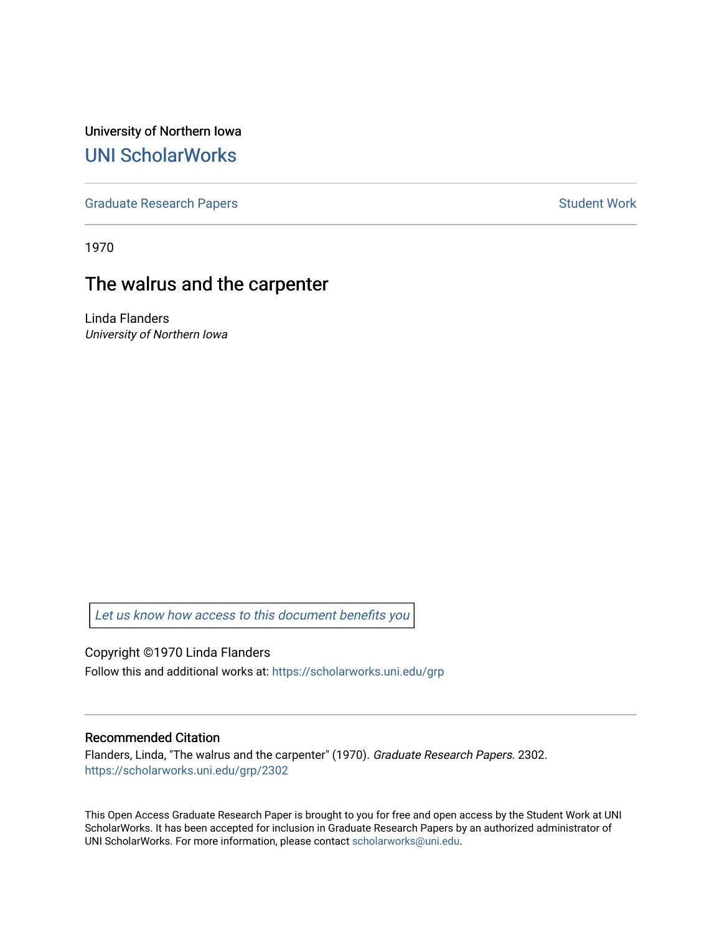University of Northern Iowa [UNI ScholarWorks](https://scholarworks.uni.edu/) 

[Graduate Research Papers](https://scholarworks.uni.edu/grp) **Student Work** Student Work

1970

# The walrus and the carpenter

Linda Flanders University of Northern Iowa

Let us know how access to this document benefits you

Copyright ©1970 Linda Flanders

Follow this and additional works at: [https://scholarworks.uni.edu/grp](https://scholarworks.uni.edu/grp?utm_source=scholarworks.uni.edu%2Fgrp%2F2302&utm_medium=PDF&utm_campaign=PDFCoverPages) 

#### Recommended Citation

Flanders, Linda, "The walrus and the carpenter" (1970). Graduate Research Papers. 2302. [https://scholarworks.uni.edu/grp/2302](https://scholarworks.uni.edu/grp/2302?utm_source=scholarworks.uni.edu%2Fgrp%2F2302&utm_medium=PDF&utm_campaign=PDFCoverPages) 

This Open Access Graduate Research Paper is brought to you for free and open access by the Student Work at UNI ScholarWorks. It has been accepted for inclusion in Graduate Research Papers by an authorized administrator of UNI ScholarWorks. For more information, please contact [scholarworks@uni.edu.](mailto:scholarworks@uni.edu)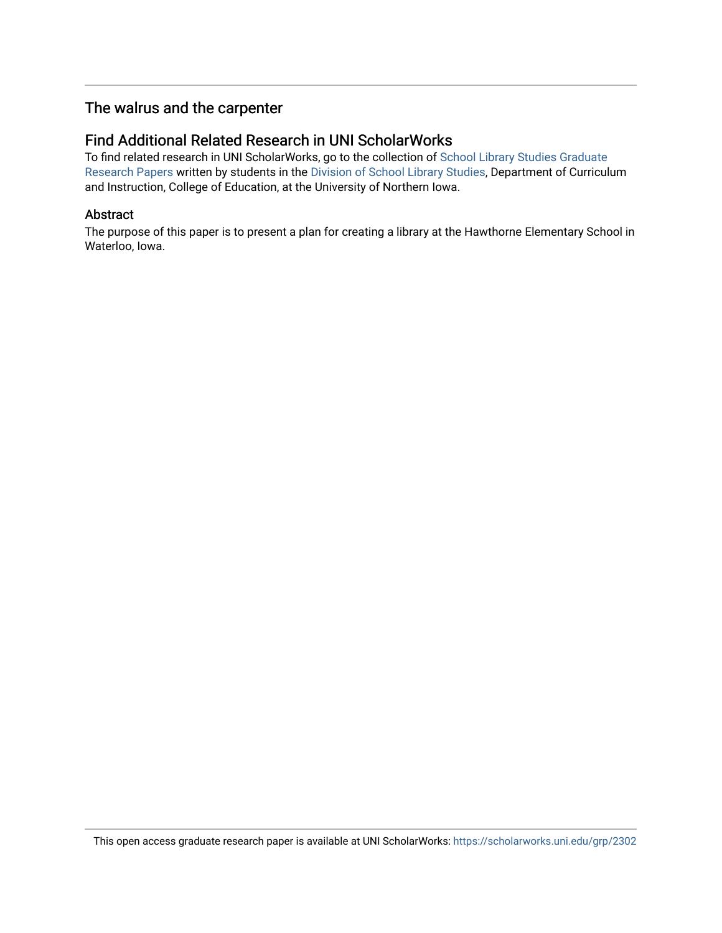# The walrus and the carpenter

### Find Additional Related Research in UNI ScholarWorks

To find related research in UNI ScholarWorks, go to the collection of [School Library Studies Graduate](http://scholarworks.uni.edu/sls_grp/) [Research Papers](http://scholarworks.uni.edu/sls_grp/) written by students in the [Division of School Library Studies,](http://scholarworks.uni.edu/sls/) Department of Curriculum and Instruction, College of Education, at the University of Northern Iowa.

#### Abstract

The purpose of this paper is to present a plan for creating a library at the Hawthorne Elementary School in Waterloo, Iowa.

This open access graduate research paper is available at UNI ScholarWorks: <https://scholarworks.uni.edu/grp/2302>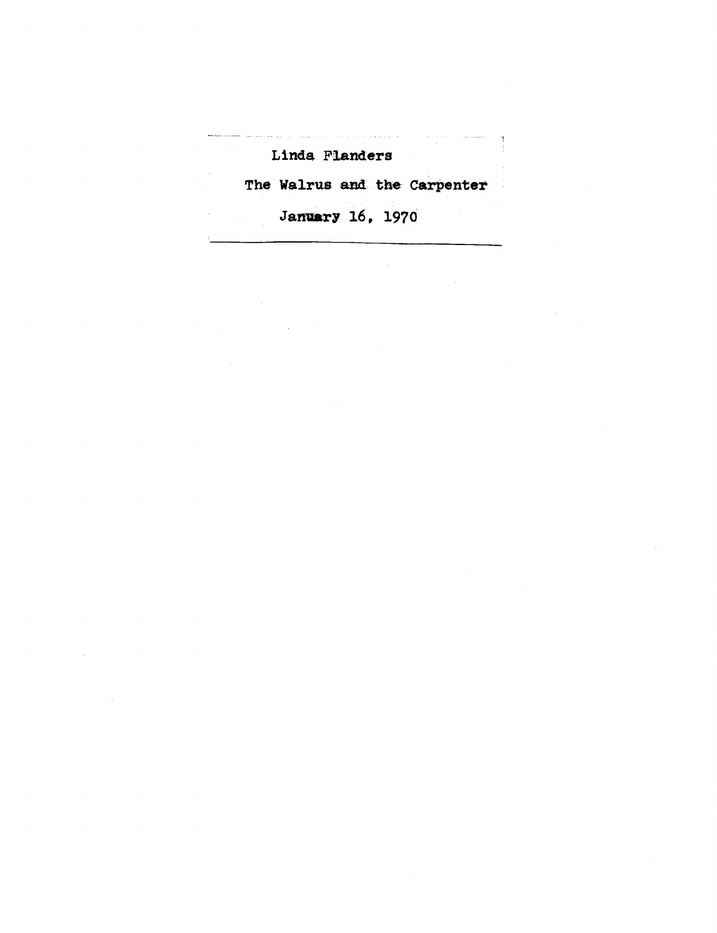# Linda Flanders

The Walrus and the Carpenter

Jamiary 16, 1970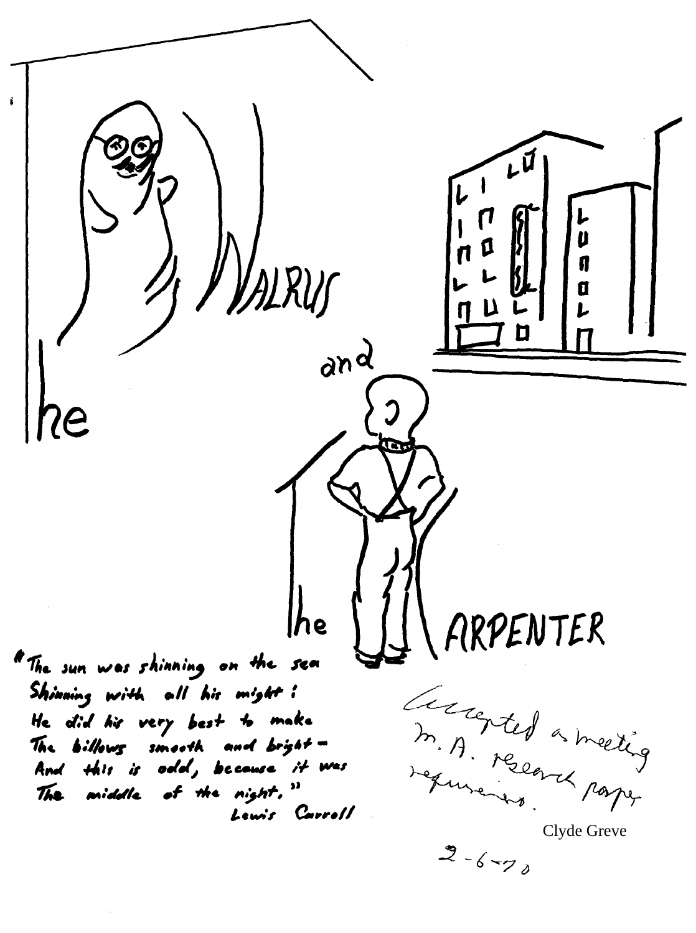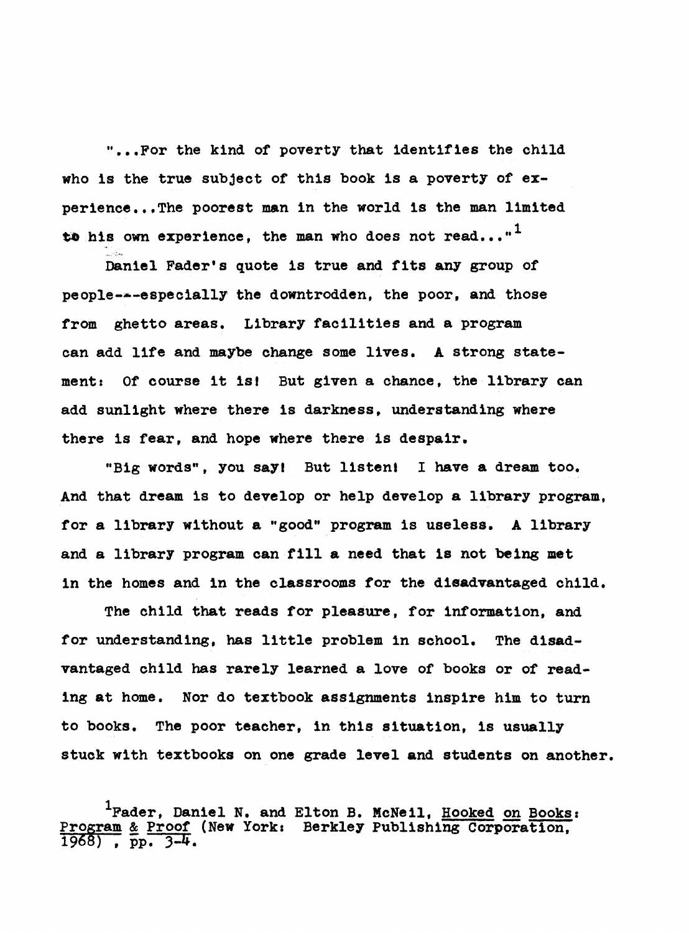" ••• For the kind of poverty that identifies the child who is the true subject of this book is a poverty of experience...The poorest man in the world is the man limited to his own experience, the man who does not read..."<sup>1</sup>

Daniel Fader's quote 1s true and fits any group of people---especially the downtrodden, the poor, and those from ghetto areas. Library facilities and a program can add life and maybe change some lives. A strong statement: Of course it isl But given a chance, the library can add sunlight where there is darkness, understanding where there is fear, and hope where there is despair.

"Big words", you sayt But listent I have a dream too. And that dream 1s to develop or help develop a library program, for a library without a "good" program 1s useless. A library and a library program can fill a need that is not being met in the homes and in the classrooms for the disadvantaged child.

The child that reads for pleasure, for information, and for understanding, has little problem in school. The disadvantaged child has rarely learned a love of books or of reading at home. Nor do textbook assignments inspire him to turn to books. The poor teacher, in this situation, is usually stuck with textbooks on one grade level and students on another.

 $^{1}$ Fader, Daniel N. and Elton B. McNeil, <u>Hooked on Books</u>: Program & Proof (New York: Berkley Publishing Corporation, 1968), pp. 3-4.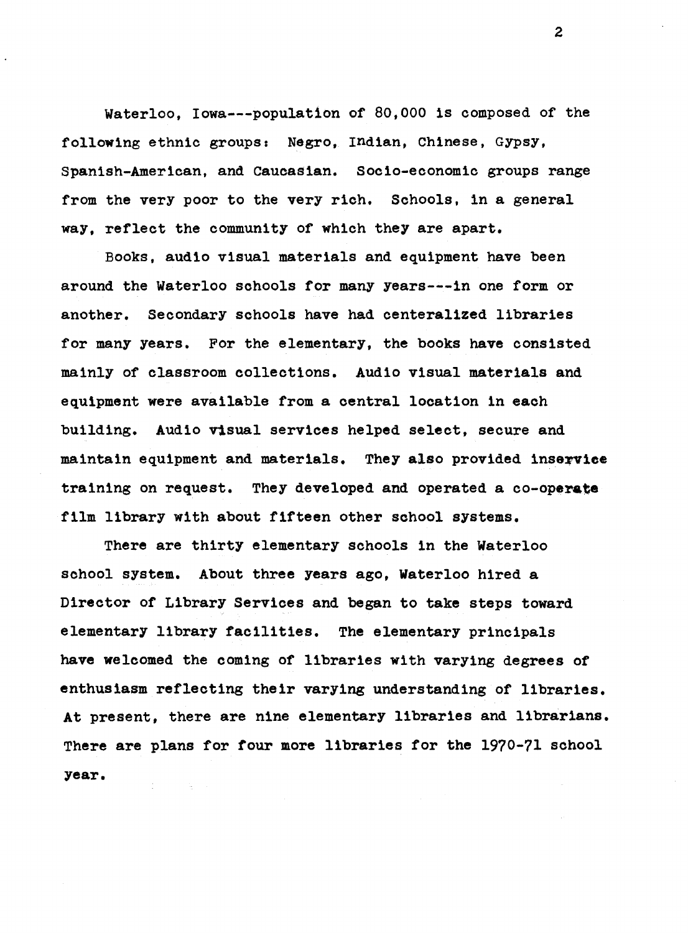Waterloo, Iowa---population of 80,000 is composed of the following ethnic groups: Negro, Indian, Chinese, Gypsy, Spanish-American, and Caucasian. Socio-economic groups range from the very poor to the very rich. Schools, in a general way, reflect the community of which they are apart.

Books, audio visual materials and equipment have been around the Waterloo schools for many years---in one form or another. Secondary schools have had centeralized libraries for many years. For the elementary, the books have consisted mainly of classroom collections. Audio visual materials and equipment were available from a central location in each building. Audio visual services helped select, secure and maintain equipment and materials. They also provided inservice training on request. They developed and operated a **co-operate**  film library with about fifteen other school systems.

There are thirty elementary schools in the Waterloo school system. About three years ago, Waterloo hired a Director of Library Services and began to take steps toward elementary library facilities. The elementary principals have welcomed the coming of libraries with varying degrees of enthusiasm reflecting their varying understanding of libraries. At present, there are nine elementary libraries and librarians. There are plans for four more libraries for the 1970-71 school **year.**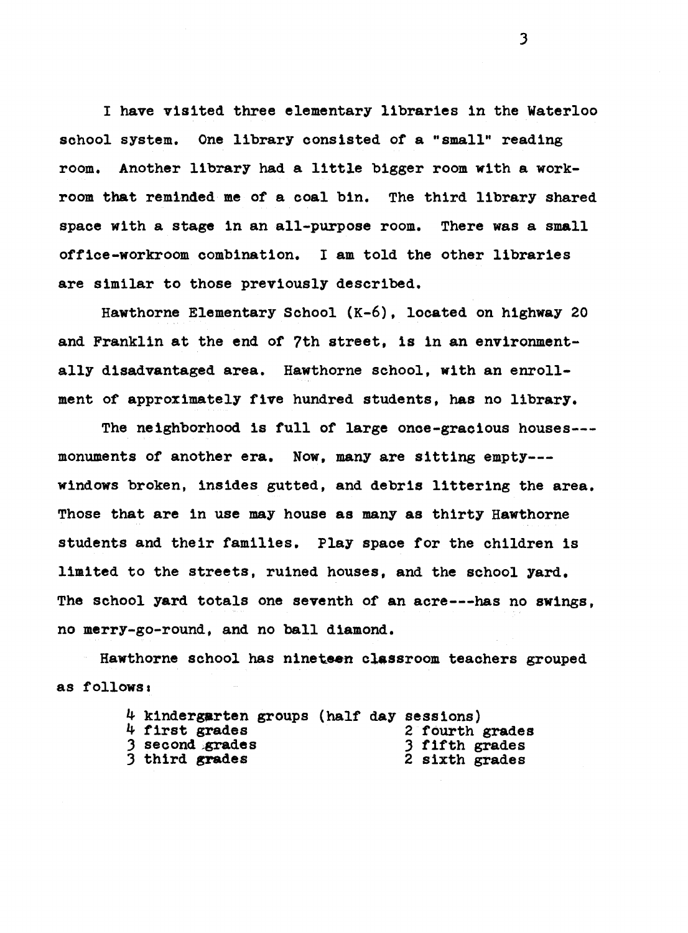I have visited three elementary libraries in the Waterloo school system. One library consisted of a "small" reading room. Another library had a little bigger room with a workroom that reminded me of a coal bin. The third library shared space with a stage in an all-purpose room. There was a small office-workroom combination. I am told the other libraries are similar to those previously described.

Hawthorne Elementary School (K-6), located on highway 20 and Franklin at the end of 7th street, 1s in an environmentally disadvantaged area. Hawthorne school, with an enrollment of approximately five hundred students, has no library.

The neighborhood is full of large once-gracious houses-- monuments of another era. Now, many are sitting empty-- windows broken, insides gutted, and debris littering the area. Those that are in use may house as many as thirty Hawthorne students and their families. Play space for the children is limited to the streets, ruined houses, and the school yard. The school yard totals one seventh of an acre---has no swings, no merry-go-round, and no ball diamond.

Hawthorne school has nineteen classroom teachers grouped as follows:

| 4 kindergarten groups (half day sessions) |  |                 |
|-------------------------------------------|--|-----------------|
| 4 first grades                            |  | 2 fourth grades |
| 3 second grades                           |  | 3 fifth grades  |
| 3 third grades                            |  | 2 sixth grades  |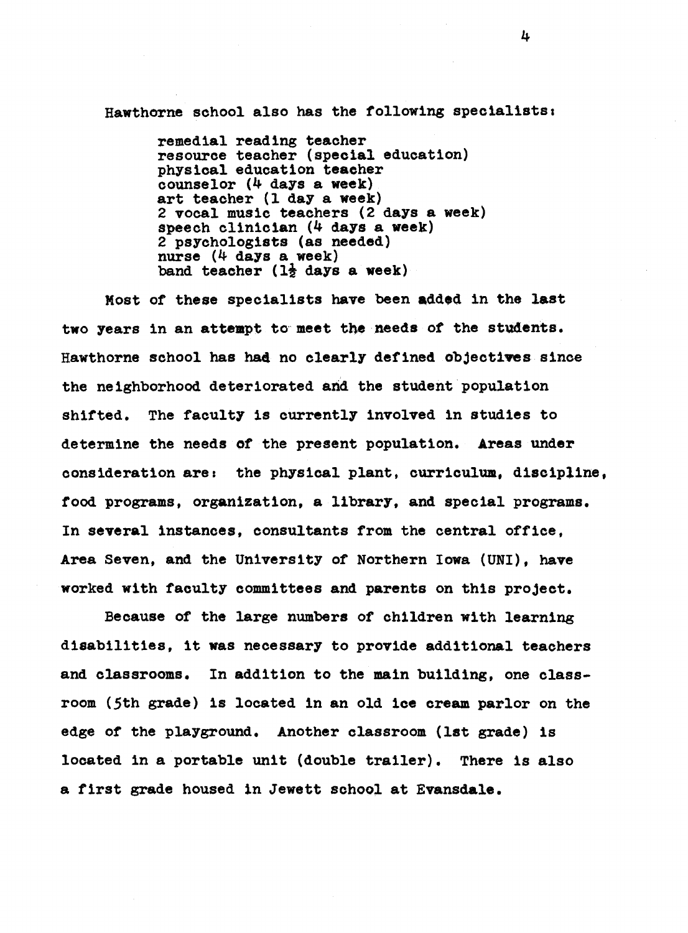Hawthorne school also has the following specialists,

remedial reading teacher resource teacher (special education) physical education teacher counselor (4 days a **week)**  art teacher (1 day a **week)**  2 vocal music teachers (2 days a week) speech clinician (4 days a **week)**  2 psychologists (as needed) nurse (4 days a week) band teacher  $(1\frac{1}{2})$  days a week)

Most of these specialists have been added in the last two years in an attempt to meet the needs of the students. Hawthorne school has had no clearly defined objectives since the neighborhood deteriorated and the student population shifted. The faculty is currently involved in studies to determine the needs of the present population. Areas under consideration are: the physical plant, curriculum, discipline, food programs, organization, a library, and special programs. In **several** instances, consultants from the central office, Area Seven, and the University of Northern Iowa (UNI), have worked with faculty committees and parents on this project.

Because of the large numbers of children with learning disabilities, it was necessary to provide additional teachers and classrooms. In addition to the main building, one classroom (5th grade) is located in an old ice cream parlor on the edge of the playground. Another classroom (1st grade) 1s located in a portable unit (double trailer}. There is also a first grade housed in Jewett school at Evansdale.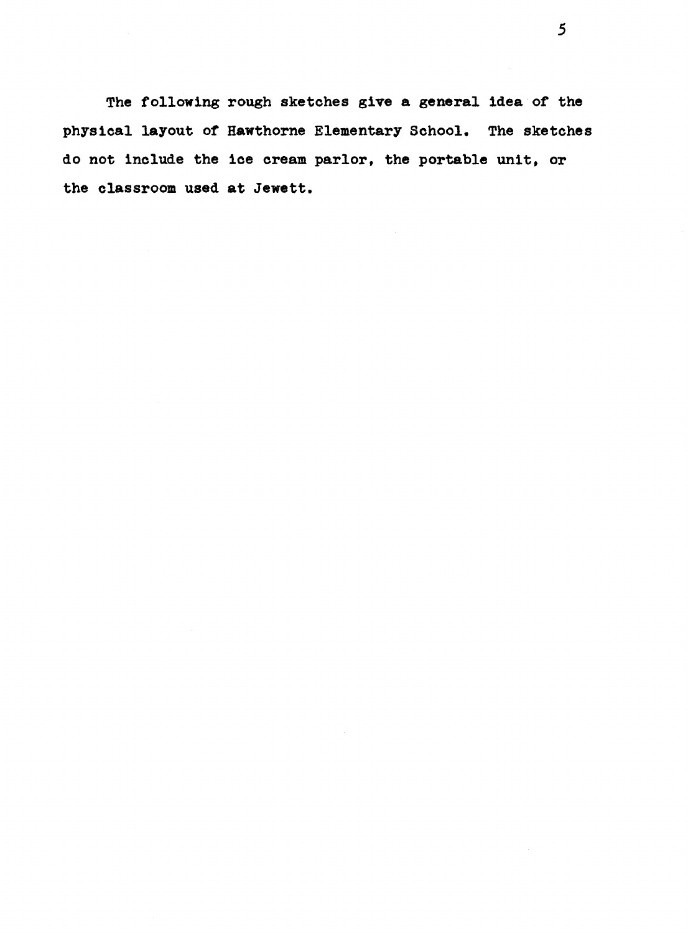The following rough sketches give **a general** idea of the physical layout or Hawthorne Elementary School. The sketches do not include the ice cream parlor, the portable unit, or the classroom used at Jewett.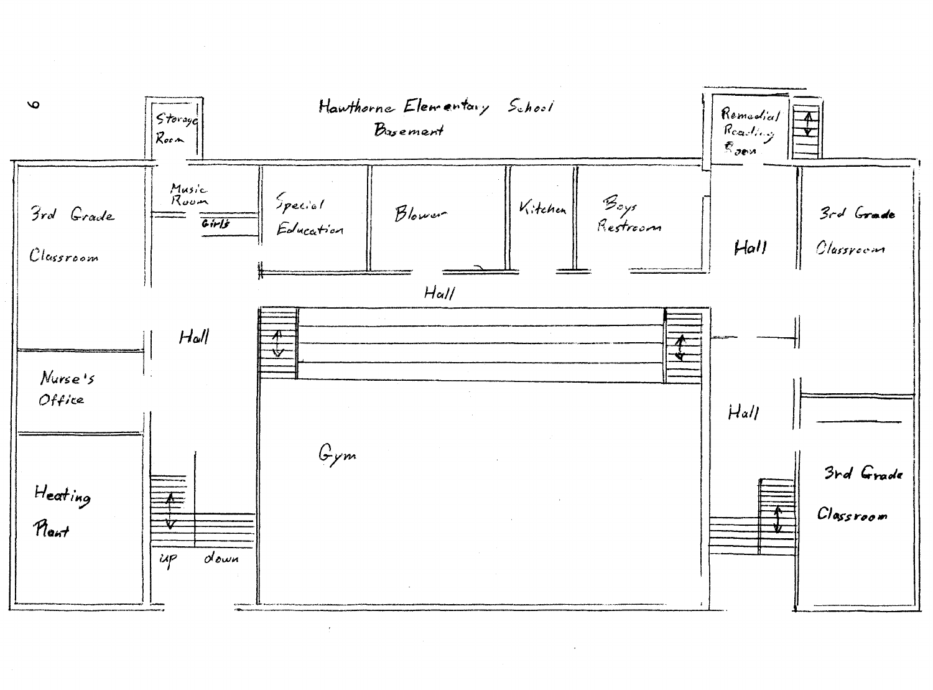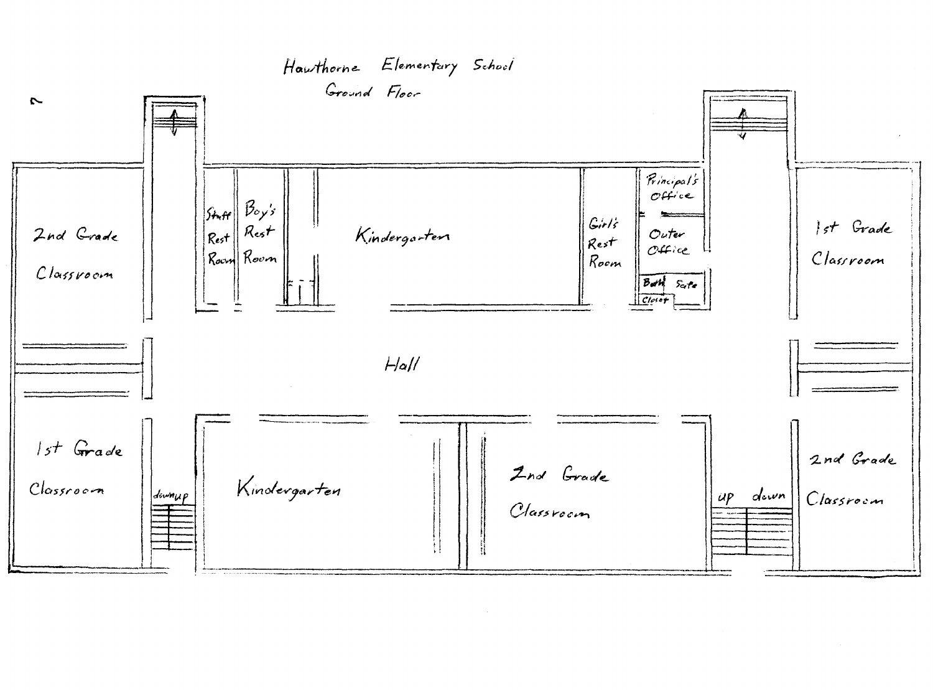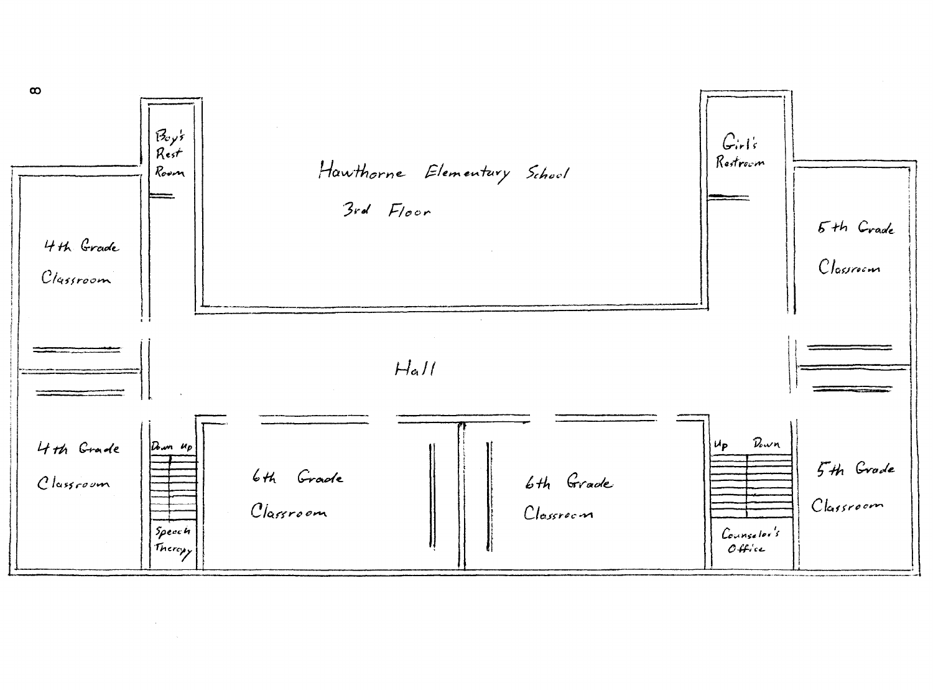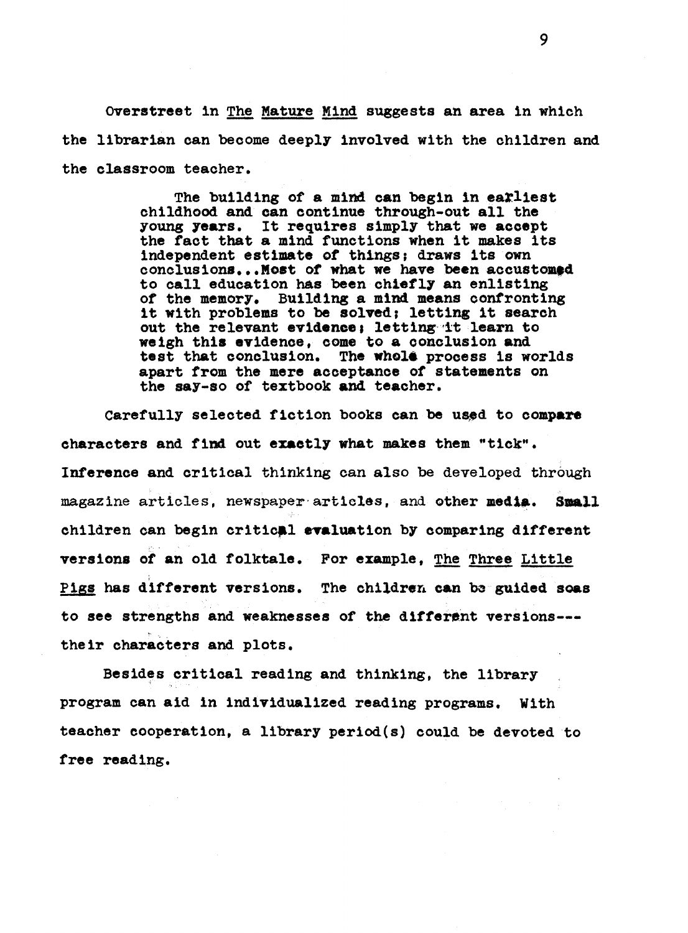Overstreet in The Mature Mind suggests an area in which the librarian can become deeply involved with the children and the classroom teacher.

> The building of a mind can begin in earliest childhood and can continue through-out all the young **years.** It requires simply that we accept the fact that a mind functions when it makes its independent estimate of things; draws its own conclusions... Most of what we have been accustomed to call education has been chiefly an enlisting or the memory. Building a mind means confronting it with problems to be solved; letting it search out the relevant evidence; letting it learn to weigh this evidence, come to a conclusion and test that conclusion. The whole process is worlds apart from the mere acceptance or statements on the say-so of textbook and teacher.

Carefully selected fiction books can be used to compare **characters** and find out **exactly what makes** them "tick". **Inference** and critical thinking can also be developed through magazine articles, newspaper articles, and other media. Small children can begin critic**al evaluation** by comparing different ,·.' **versions** of an old folktale. For example, The Three Little Pigs has different versions. The children can be guided soas to see strengths and weaknesses of the different versions--their characters and plots.

Besides critical reading and thinking, the library program can aid in individualized reading programs. With teacher cooperation, a library period(s) could be devoted to free reading.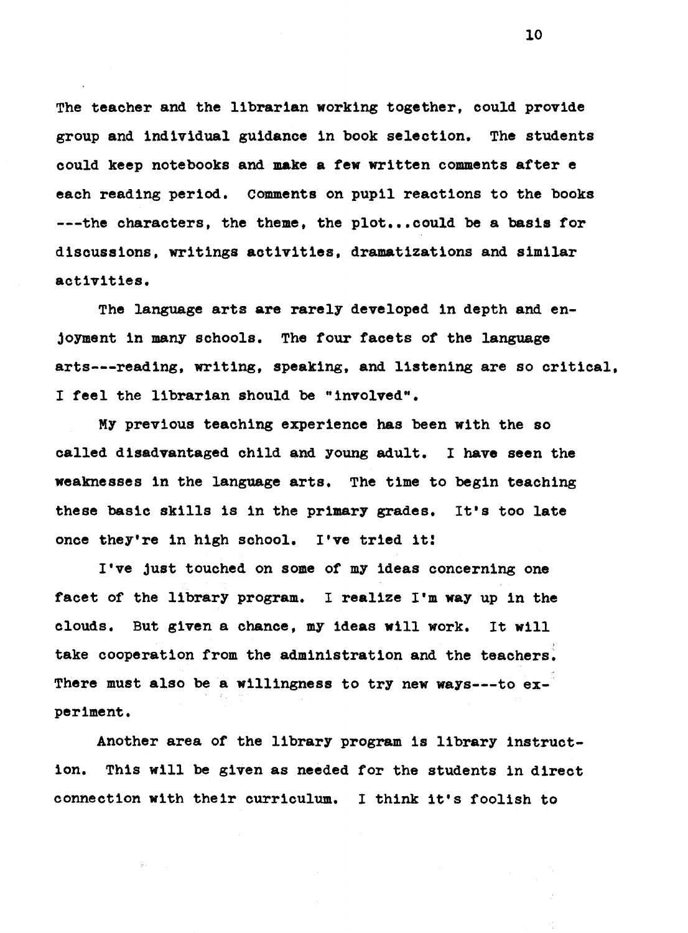The teacher and the librarian working together, could provide group and individual guidance in book selection. The students could keep notebooks and **make a few** written comments after e each reading period. comments on pupil reactions to the books ---the characters, the theme, the plot ••• could be a **basis** for discussions, writings activities, dramatizations and similar activities.

The language arts are rarely developed in depth and enjoyment in many schools. The four facets of the language arts---reading, writing, speaking, and listening are so critical, I feel the librarian should be "involved".

MY previous teaching experience has been with the so called disadvantaged child and young adult. I have seen the weaknesses in the language arts. The time to begin teaching these basic skills is in the primary grades. It's too late once they're in high school. **I've** tried it!

I've just touched on some of my ideas concerning one facet of the library program. I realize I'm way up in the clouds, But given a chance, my ideas will work. It will take cooperation from the administration and the teachers. There must also be a willingness to try new ways---to experiment.

Another area of the library program is library instruction. This will be given as needed for the students in direct connection with their curriculum. I think it's foolish to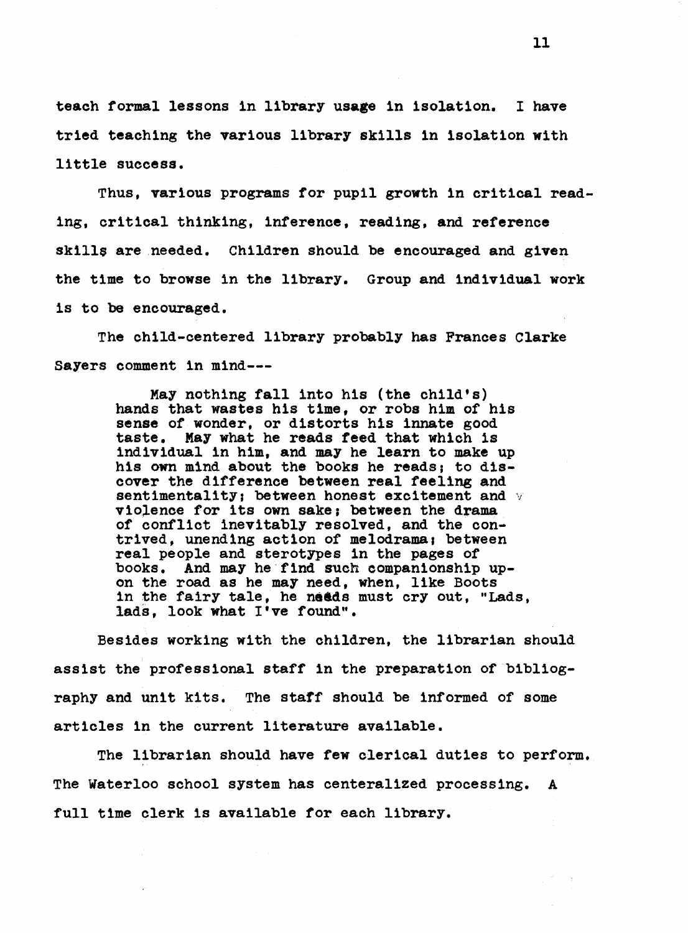teach formal lessons in library usage in isolation. I have tried teaching the various library skills in isolation with little success.

Thus, various programs for pupil growth in critical reading, critical thinking, inference, reading, and reference skills are needed. Children should be encouraged and given the time to browse in the library. Group and individual work is to be encouraged.

The child-centered library probably has Frances Clarke Sayers comment in mind---

> May nothing fall into his (the child's) hands that wastes his time, or robs him of his sense of wonder, or distorts his innate good taste. May what he reads feed that which is individual in him, and may he learn to make up his own mind about the books he reads; to discover the difference between real feeling and sentimentality; between honest excitement and  $\vee$ violence for its own sake; between the drama of conflict inevitably resolved, and the contrived, unending action of melodrama, between real people and sterotypes in the pages of books. And may he find such companionship upon the road as he may need, when, like Boots in the fairy tale, he needs must cry out, "Lads, lads, look what I've found".

Besides working with the children, the librarian should assist the professional staff in the preparation of bibliography and unit kits. The staff should be informed of some articles in the current literature available.

The librarian should have few clerical duties to perform. The Waterloo school system has centeralized processing. A full time clerk is available for each library.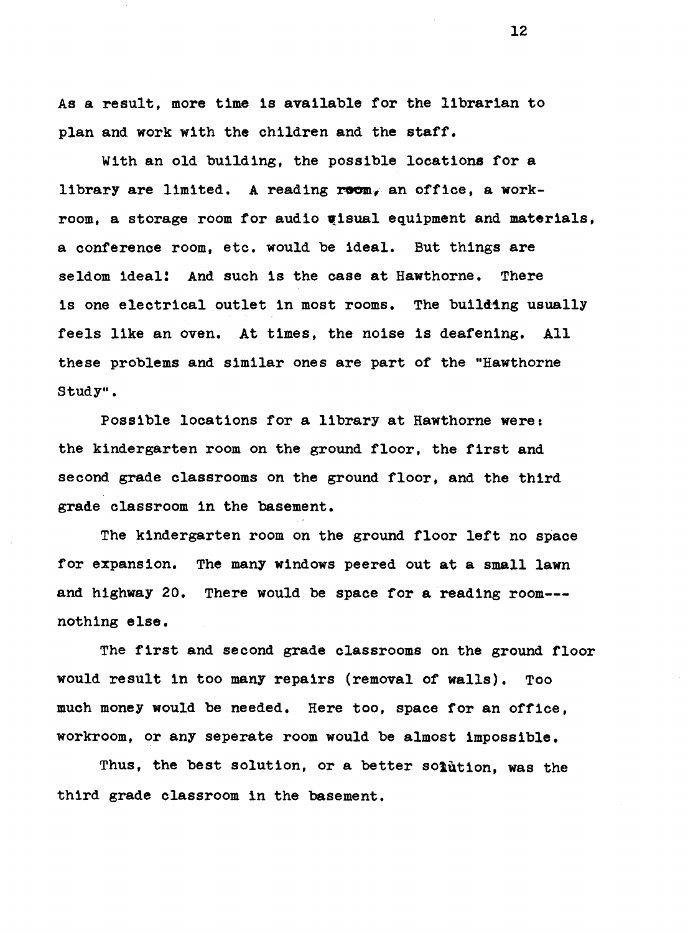As a result, more time is available for the librarian to plan and work with the children and the staff.

With an old building, the possible locations for a library are limited. A reading room, an office, a workroom, a storage room for audio uisual equipment and materials, a conference room, etc. would be ideal. But things are seldom ideal! And such is the case at Hawthorne. There is one electrical outlet in most rooms. The building usually feels like an oven. At times, the noise ls deafening. All these problems and similar ones are part of the "Hawthorne Study".

Possible locations for a library at Hawthorne were: the kindergarten room on the ground floor, the first and second grade classrooms on the ground floor, and the third grade classroom in the basement.

The kindergarten room on the ground floor left no space for expansion. The many windows peered out at a small lawn and highway 20. There would be space for a reading room-- nothing else.

The first and second grade classrooms on the ground floor would result in too many repairs (removal of walls). Too much money would be needed, Here too, space for an office, workroom, or any seperate room would be almost impossible.

Thus, the best solution, or a better solution, was the third grade classroom in the basement.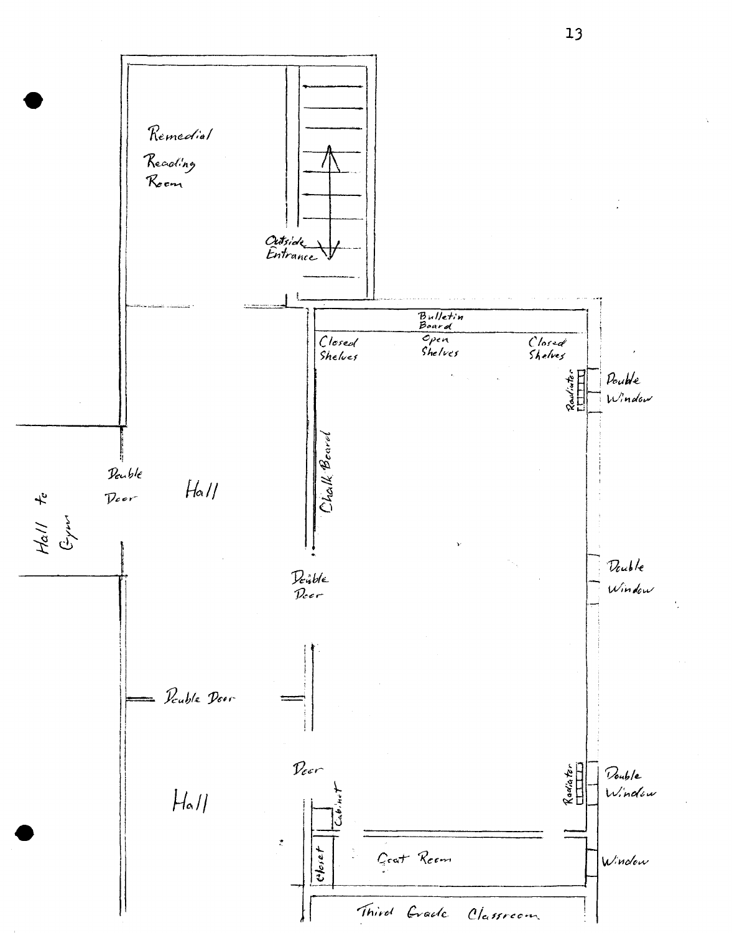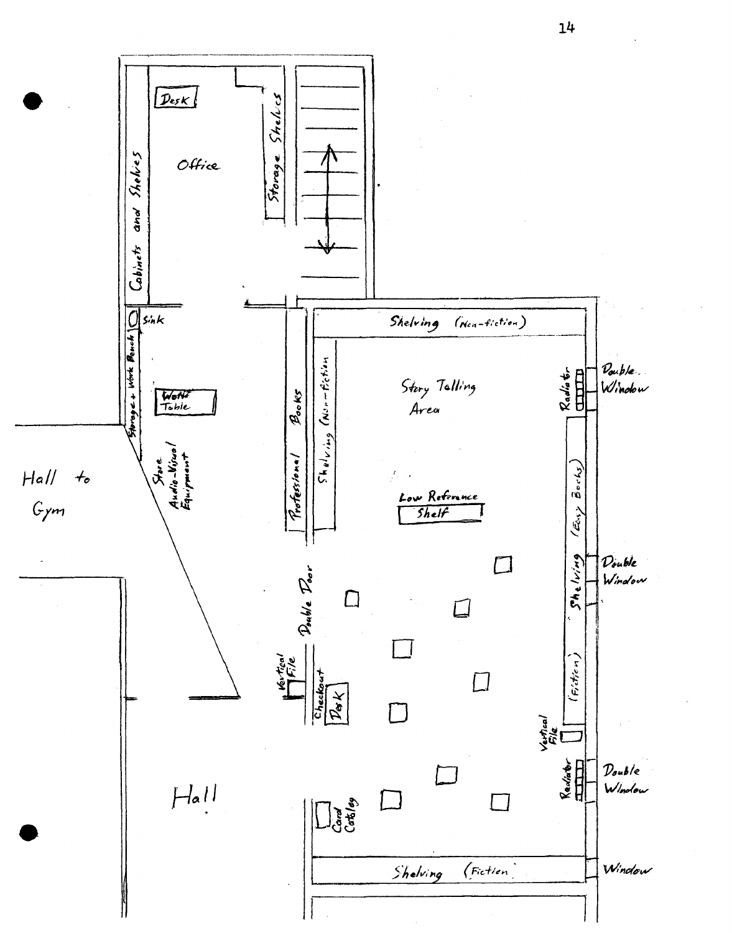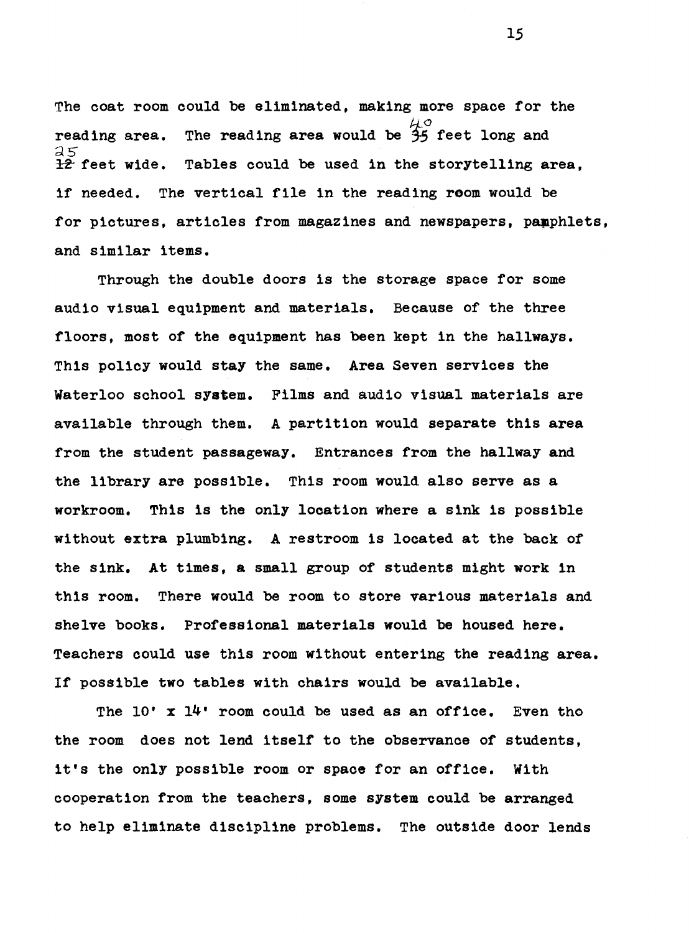The coat room could be eliminated, making more space for the reading area. The reading area would be  $\frac{\mu}{35}$  feet long and *25*  Tables could be used in the storytelling area, if needed. The vertical file in the reading room would be for pictures, articles from magazines and newspapers, pamphlets, and similar items.

Through the double doors is the storage space for some audio visual equipment and materials. Because of the three floors, most of the equipment has been kept in the hallways. This policy would **stay** the same. **Area** Seven services the Waterloo school **system.** Films and audio visual materials are available through them. A partition would separate this area from the student passageway. Entrances from the hallway and the library are possible. This room would also serve as a workroom. This is the only location where a sink is possible without extra plumbing. A restroom is located at the back of the sink. At times, a small group of students might work in this room. There would be room to store various materials and shelve books. Professional materials would be housed here. Teachers could use this room without entering the reading area. If possible two tables with chairs would be available.

The 10' x 14' room could be used as an office. Even tho the room does not lend itself to the observance of students, it's the only possible room or space for an office. With cooperation from the teachers, some system could be arranged to help eliminate discipline problems. The outside door lends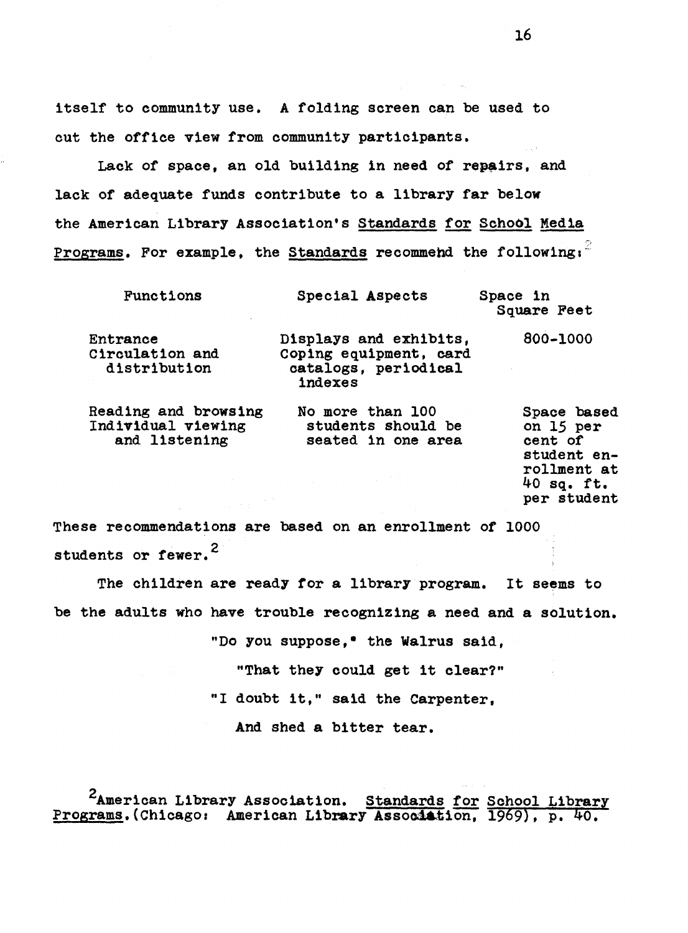itself to community use. A folding screen can be used to cut the office view from community participants.

Lack of space, an old building in need of repairs, and lack of adequate funds contribute to a library far below the American Library Association's Standards for School Media <u>Programs</u>. For example, the Standards recommend the following:

| Functions                                                                                                                                              | Special Aspects                                                                     | Space in<br>Square Feet                                                                          |
|--------------------------------------------------------------------------------------------------------------------------------------------------------|-------------------------------------------------------------------------------------|--------------------------------------------------------------------------------------------------|
| Entrance<br>Circulation and<br>distribution                                                                                                            | Displays and exhibits,<br>Coping equipment, card<br>catalogs, periodical<br>indexes | 800-1000                                                                                         |
| Reading and browsing<br>Individual viewing<br>and listening<br>$\mathcal{L}^{\text{max}}_{\text{max}}$ , where $\mathcal{L}^{\text{max}}_{\text{max}}$ | No more than 100<br>students should be<br>seated in one area                        | Space based<br>on 15 per<br>cent of<br>student en-<br>rollment at<br>$40$ sq. ft.<br>per student |

These recommendations are based on an enrollment of 1000 students or fewer.<sup>2</sup>

The children are ready for a library program. It seems to be the adults who have trouble recognizing a need and a solution.

.. Do you suppose,• the **Walrus** said,

"That they could get it clear?"

"I doubt it," said the Carpenter,

And shed a bitter tear.

<sup>2</sup>American Library Association. Standards for School Library Programs.(Chicago: American Library Association, 1969), p. 40.